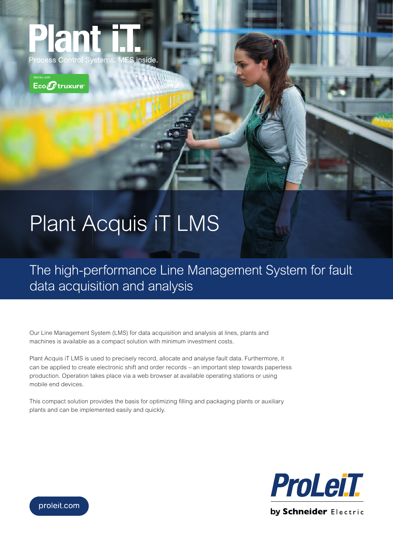



## Plant Acquis iT LMS

The high-performance Line Management System for fault data acquisition and analysis

Our Line Management System (LMS) for data acquisition and analysis at lines, plants and machines is available as a compact solution with minimum investment costs.

Plant Acquis iT LMS is used to precisely record, allocate and analyse fault data. Furthermore, it can be applied to create electronic shift and order records – an important step towards paperless production. Operation takes place via a web browser at available operating stations or using mobile end devices.

This compact solution provides the basis for optimizing filling and packaging plants or auxiliary plants and can be implemented easily and quickly.